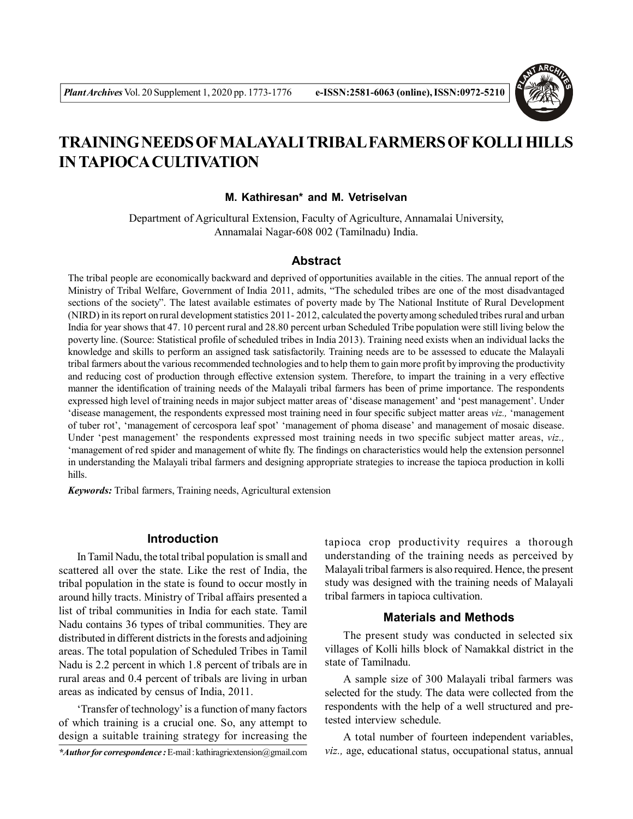

# **TRAINING NEEDS OF MALAYALI TRIBAL FARMERS OF KOLLI HILLS IN TAPIOCA CULTIVATION**

#### **M. Kathiresan\* and M. Vetriselvan**

Department of Agricultural Extension, Faculty of Agriculture, Annamalai University, Annamalai Nagar-608 002 (Tamilnadu) India.

## **Abstract**

The tribal people are economically backward and deprived of opportunities available in the cities. The annual report of the Ministry of Tribal Welfare, Government of India 2011, admits, "The scheduled tribes are one of the most disadvantaged sections of the society". The latest available estimates of poverty made by The National Institute of Rural Development (NIRD) in its report on rural development statistics 2011- 2012, calculated the poverty among scheduled tribes rural and urban India for year shows that 47. 10 percent rural and 28.80 percent urban Scheduled Tribe population were still living below the poverty line. (Source: Statistical profile of scheduled tribes in India 2013). Training need exists when an individual lacks the knowledge and skills to perform an assigned task satisfactorily. Training needs are to be assessed to educate the Malayali tribal farmers about the various recommended technologies and to help them to gain more profit by improving the productivity and reducing cost of production through effective extension system. Therefore, to impart the training in a very effective manner the identification of training needs of the Malayali tribal farmers has been of prime importance. The respondents expressed high level of training needs in major subject matter areas of 'disease management' and 'pest management'. Under 'disease management, the respondents expressed most training need in four specific subject matter areas *viz.,* 'management of tuber rot', 'management of cercospora leaf spot' 'management of phoma disease' and management of mosaic disease. Under 'pest management' the respondents expressed most training needs in two specific subject matter areas, *viz.,* 'management of red spider and management of white fly. The findings on characteristics would help the extension personnel in understanding the Malayali tribal farmers and designing appropriate strategies to increase the tapioca production in kolli hills.

*Keywords:* Tribal farmers, Training needs, Agricultural extension

## **Introduction**

In Tamil Nadu, the total tribal population is small and scattered all over the state. Like the rest of India, the tribal population in the state is found to occur mostly in around hilly tracts. Ministry of Tribal affairs presented a list of tribal communities in India for each state. Tamil Nadu contains 36 types of tribal communities. They are distributed in different districts in the forests and adjoining areas. The total population of Scheduled Tribes in Tamil Nadu is 2.2 percent in which 1.8 percent of tribals are in rural areas and 0.4 percent of tribals are living in urban areas as indicated by census of India, 2011.

'Transfer of technology' is a function of many factors of which training is a crucial one. So, any attempt to design a suitable training strategy for increasing the tapioca crop productivity requires a thorough understanding of the training needs as perceived by Malayali tribal farmers is also required. Hence, the present study was designed with the training needs of Malayali tribal farmers in tapioca cultivation.

## **Materials and Methods**

The present study was conducted in selected six villages of Kolli hills block of Namakkal district in the state of Tamilnadu.

A sample size of 300 Malayali tribal farmers was selected for the study. The data were collected from the respondents with the help of a well structured and pretested interview schedule.

A total number of fourteen independent variables, *viz.,* age, educational status, occupational status, annual

*<sup>\*</sup>Author for correspondence :* E-mail : kathiragriextension@gmail.com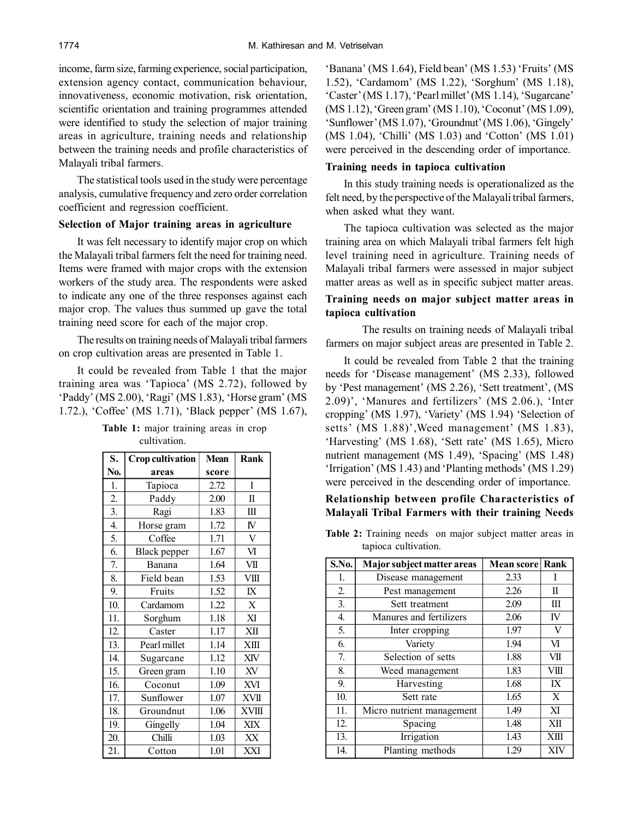income, farm size, farming experience, social participation, extension agency contact, communication behaviour, innovativeness, economic motivation, risk orientation, scientific orientation and training programmes attended were identified to study the selection of major training areas in agriculture, training needs and relationship between the training needs and profile characteristics of Malayali tribal farmers.

The statistical tools used in the study were percentage analysis, cumulative frequency and zero order correlation coefficient and regression coefficient.

## **Selection of Major training areas in agriculture**

It was felt necessary to identify major crop on which the Malayali tribal farmers felt the need for training need. Items were framed with major crops with the extension workers of the study area. The respondents were asked to indicate any one of the three responses against each major crop. The values thus summed up gave the total training need score for each of the major crop.

The results on training needs of Malayali tribal farmers on crop cultivation areas are presented in Table 1.

It could be revealed from Table 1 that the major training area was 'Tapioca' (MS 2.72), followed by 'Paddy' (MS 2.00), 'Ragi' (MS 1.83), 'Horse gram' (MS 1.72.), 'Coffee' (MS 1.71), 'Black pepper' (MS 1.67),

**Table 1:** major training areas in crop cultivation.

| S.               | <b>Crop</b> cultivation | <b>Mean</b> | <b>Rank</b>    |
|------------------|-------------------------|-------------|----------------|
| No.              | areas                   | score       |                |
| 1.               | Tapioca                 | 2.72        | I              |
| $\overline{c}$   | Paddy                   | 2.00        | $\rm II$       |
| $\overline{3}$ . | Ragi                    | 1.83        | $\rm III$      |
| $\overline{4}$ . | Horse gram              | 1.72        | ${\bf N}$      |
| 5.               | Coffee                  | 1.71        | $\overline{V}$ |
| 6.               | <b>Black</b> pepper     | 1.67        | VI             |
| 7.               | Banana                  | 1.64        | VII            |
| 8.               | Field bean              | 1.53        | VIII           |
| 9.               | Fruits                  | 1.52        | $\overline{X}$ |
| 10.              | Cardamom                | 1.22        | $\mathbf X$    |
| 11.              | Sorghum                 | 1.18        | XI             |
| 12.              | Caster                  | 1.17        | XII            |
| 13.              | Pearl millet            | 1.14        | XIII           |
| 14.              | Sugarcane               | 1.12        | XIV            |
| 15.              | Green gram              | 1.10        | XV             |
| 16.              | Coconut                 | 1.09        | XVI            |
| 17.              | Sunflower               | 1.07        | <b>XVII</b>    |
| 18.              | Groundnut               | 1.06        | <b>XVIII</b>   |
| 19.              | Gingelly                | 1.04        | XIX            |
| 20.              | Chilli                  | 1.03        | XX             |
| 21.              | Cotton                  | 1.01        | XXI            |

'Banana' (MS 1.64), Field bean' (MS 1.53) 'Fruits' (MS 1.52), 'Cardamom' (MS 1.22), 'Sorghum' (MS 1.18), 'Caster' (MS 1.17), 'Pearl millet' (MS 1.14), 'Sugarcane' (MS 1.12), 'Green gram' (MS 1.10), 'Coconut' (MS 1.09), 'Sunflower' (MS 1.07), 'Groundnut' (MS 1.06), 'Gingely' (MS 1.04), 'Chilli' (MS 1.03) and 'Cotton' (MS 1.01) were perceived in the descending order of importance.

#### **Training needs in tapioca cultivation**

In this study training needs is operationalized as the felt need, by the perspective of the Malayali tribal farmers, when asked what they want.

The tapioca cultivation was selected as the major training area on which Malayali tribal farmers felt high level training need in agriculture. Training needs of Malayali tribal farmers were assessed in major subject matter areas as well as in specific subject matter areas.

## **Training needs on major subject matter areas in tapioca cultivation**

The results on training needs of Malayali tribal farmers on major subject areas are presented in Table 2.

It could be revealed from Table 2 that the training needs for 'Disease management' (MS 2.33), followed by 'Pest management' (MS 2.26), 'Sett treatment', (MS 2.09)', 'Manures and fertilizers' (MS 2.06.), 'Inter cropping' (MS 1.97), 'Variety' (MS 1.94) 'Selection of setts' (MS 1.88)',Weed management' (MS 1.83), 'Harvesting' (MS 1.68), 'Sett rate' (MS 1.65), Micro nutrient management (MS 1.49), 'Spacing' (MS 1.48) 'Irrigation' (MS 1.43) and 'Planting methods' (MS 1.29) were perceived in the descending order of importance.

## **Relationship between profile Characteristics of Malayali Tribal Farmers with their training Needs**

**Table 2:** Training needs on major subject matter areas in tapioca cultivation.

| S.No. | Major subject matter areas | <b>Mean score</b> | Rank |
|-------|----------------------------|-------------------|------|
| 1.    | Disease management         | 2.33              |      |
| 2.    | Pest management            | 2.26              | П    |
| 3.    | Sett treatment             | 2.09              | Ш    |
| 4.    | Manures and fertilizers    | 2.06              | IV   |
| 5.    | Inter cropping             | 1.97              | V    |
| 6.    | Variety                    | 1.94              | VI   |
| 7.    | Selection of setts         | 1.88              | VІІ  |
| 8.    | Weed management            | 1.83              | VШ   |
| 9.    | Harvesting                 | 1.68              | IX   |
| 10.   | Sett rate                  | 1.65              | X    |
| 11.   | Micro nutrient management  | 1.49              | XI   |
| 12.   | Spacing                    | 1.48              | XII  |
| 13.   | Irrigation                 | 1.43              | XIII |
| 14.   | Planting methods           | 1.29              | XIV  |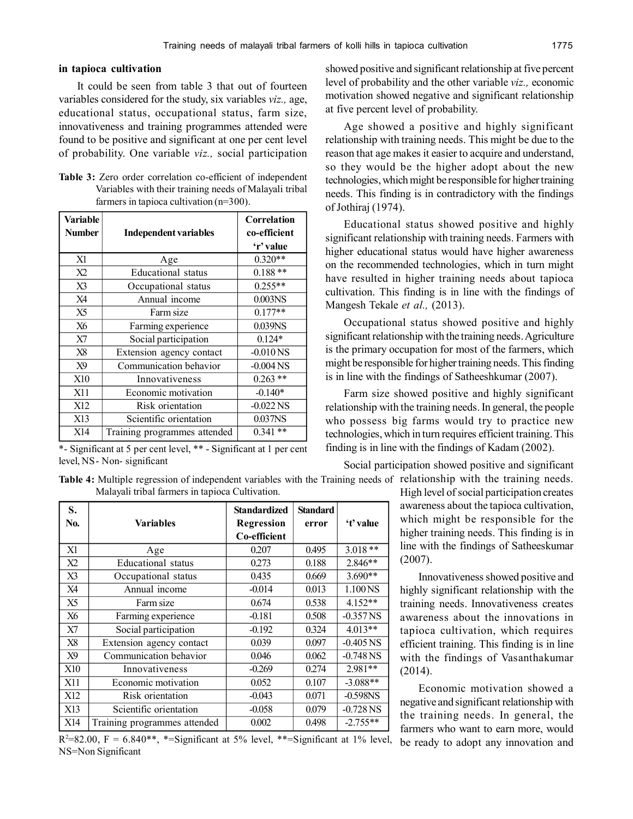#### **in tapioca cultivation**

It could be seen from table 3 that out of fourteen variables considered for the study, six variables *viz.,* age, educational status, occupational status, farm size, innovativeness and training programmes attended were found to be positive and significant at one per cent level of probability. One variable *viz.,* social participation

**Table 3:** Zero order correlation co-efficient of independent Variables with their training needs of Malayali tribal farmers in tapioca cultivation (n=300).

| <b>Variable</b><br><b>Number</b> | <b>Independent variables</b> | <b>Correlation</b><br>co-efficient<br>'r' value |
|----------------------------------|------------------------------|-------------------------------------------------|
| X1                               | Age                          | $0.320**$                                       |
| X <sub>2</sub>                   | <b>Educational</b> status    | $0.188**$                                       |
| X3                               | Occupational status          | $0.255**$                                       |
| X <sub>4</sub>                   | Annual income                | 0.003NS                                         |
| X <sub>5</sub>                   | Farm size                    | $0.177**$                                       |
| X6                               | Farming experience           | 0.039NS                                         |
| X7                               | Social participation         | $0.124*$                                        |
| X8                               | Extension agency contact     | $-0.010$ NS                                     |
| X9                               | Communication behavior       | $-0.004$ NS                                     |
| <b>X10</b>                       | Innovativeness               | $0.263$ **                                      |
| X11                              | Economic motivation          | $-0.140*$                                       |
| X12                              | Risk orientation             | $-0.022$ NS                                     |
| X13                              | Scientific orientation       | 0.037 <sub>NS</sub>                             |
| X14                              | Training programmes attended | $***$<br>0.341                                  |

\*- Significant at 5 per cent level, \*\* - Significant at 1 per cent level, NS- Non- significant

**Table 4:** Multiple regression of independent variables with the Training needs of relationship with the training needs. Malayali tribal farmers in tapioca Cultivation.

| S.<br>No.       | <b>Variables</b>             | <b>Standardized</b><br><b>Regression</b><br>Co-efficient | <b>Standard</b><br>error | 't' value           |
|-----------------|------------------------------|----------------------------------------------------------|--------------------------|---------------------|
| X1              | Age                          | 0.207                                                    | 0.495                    | $3.018**$           |
| X <sub>2</sub>  | Educational status           | 0.273                                                    | 0.188                    | $2.846**$           |
| X3              | Occupational status          | 0.435                                                    | 0.669                    | $3.690**$           |
| X4              | Annual income                | $-0.014$                                                 | 0.013                    | 1.100 <sub>NS</sub> |
| X5              | Farm size                    | 0.674                                                    | 0.538                    | $4.152**$           |
| X6              | Farming experience           | $-0.181$                                                 | 0.508                    | $-0.357$ NS         |
| X7              | Social participation         | $-0.192$                                                 | 0.324                    | $4.013**$           |
| X8              | Extension agency contact     | 0.039                                                    | 0.097                    | $-0.405$ NS         |
| X9              | Communication behavior       | 0.046                                                    | 0.062                    | $-0.748$ NS         |
| <b>X10</b>      | Innovativeness               | $-0.269$                                                 | 0.274                    | $2.981**$           |
| X11             | Economic motivation          | 0.052                                                    | 0.107                    | $-3.088**$          |
| X <sub>12</sub> | Risk orientation             | $-0.043$                                                 | 0.071                    | $-0.598$ NS         |
| X13             | Scientific orientation       | $-0.058$                                                 | 0.079                    | $-0.728$ NS         |
| X14             | Training programmes attended | 0.002                                                    | 0.498                    | $-2.755**$          |

 $R^2 = 82.00$ ,  $F = 6.840**$ , \*=Significant at 5% level, \*\*=Significant at 1% level, NS=Non Significant

showed positive and significant relationship at five percent level of probability and the other variable *viz.,* economic motivation showed negative and significant relationship at five percent level of probability.

Age showed a positive and highly significant relationship with training needs. This might be due to the reason that age makes it easier to acquire and understand, so they would be the higher adopt about the new technologies, which might be responsible for higher training needs. This finding is in contradictory with the findings of Jothiraj (1974).

Educational status showed positive and highly significant relationship with training needs. Farmers with higher educational status would have higher awareness on the recommended technologies, which in turn might have resulted in higher training needs about tapioca cultivation. This finding is in line with the findings of Mangesh Tekale *et al.,* (2013).

Occupational status showed positive and highly significant relationship with the training needs. Agriculture is the primary occupation for most of the farmers, which might be responsible for higher training needs. This finding is in line with the findings of Satheeshkumar (2007).

Farm size showed positive and highly significant relationship with the training needs. In general, the people who possess big farms would try to practice new technologies, which in turn requires efficient training. This finding is in line with the findings of Kadam (2002).

Social participation showed positive and significant

High level of social participation creates awareness about the tapioca cultivation, which might be responsible for the higher training needs. This finding is in line with the findings of Satheeskumar (2007).

Innovativeness showed positive and highly significant relationship with the training needs. Innovativeness creates awareness about the innovations in tapioca cultivation, which requires efficient training. This finding is in line with the findings of Vasanthakumar (2014).

Economic motivation showed a negative and significant relationship with the training needs. In general, the farmers who want to earn more, would be ready to adopt any innovation and